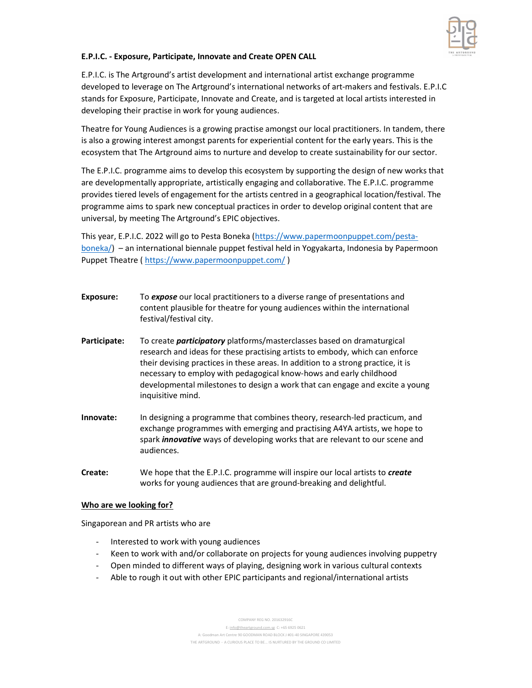

## E.P.I.C. - Exposure, Participate, Innovate and Create OPEN CALL

E.P.I.C. is The Artground's artist development and international artist exchange programme developed to leverage on The Artground's international networks of art-makers and festivals. E.P.I.C stands for Exposure, Participate, Innovate and Create, and is targeted at local artists interested in developing their practise in work for young audiences.

Theatre for Young Audiences is a growing practise amongst our local practitioners. In tandem, there is also a growing interest amongst parents for experiential content for the early years. This is the ecosystem that The Artground aims to nurture and develop to create sustainability for our sector.

The E.P.I.C. programme aims to develop this ecosystem by supporting the design of new works that are developmentally appropriate, artistically engaging and collaborative. The E.P.I.C. programme provides tiered levels of engagement for the artists centred in a geographical location/festival. The programme aims to spark new conceptual practices in order to develop original content that are universal, by meeting The Artground's EPIC objectives.

This year, E.P.I.C. 2022 will go to Pesta Boneka (https://www.papermoonpuppet.com/pestaboneka/) – an international biennale puppet festival held in Yogyakarta, Indonesia by Papermoon Puppet Theatre ( https://www.papermoonpuppet.com/)

- **Exposure:** To expose our local practitioners to a diverse range of presentations and content plausible for theatre for young audiences within the international festival/festival city.
- Participate: To create *participatory* platforms/masterclasses based on dramaturgical research and ideas for these practising artists to embody, which can enforce their devising practices in these areas. In addition to a strong practice, it is necessary to employ with pedagogical know-hows and early childhood developmental milestones to design a work that can engage and excite a young inquisitive mind.
- Innovate: In designing a programme that combines theory, research-led practicum, and exchange programmes with emerging and practising A4YA artists, we hope to spark *innovative* ways of developing works that are relevant to our scene and audiences.
- Create: We hope that the E.P.I.C. programme will inspire our local artists to *create* works for young audiences that are ground-breaking and delightful.

#### Who are we looking for?

Singaporean and PR artists who are

- Interested to work with young audiences
- Keen to work with and/or collaborate on projects for young audiences involving puppetry
- Open minded to different ways of playing, designing work in various cultural contexts
- Able to rough it out with other EPIC participants and regional/international artists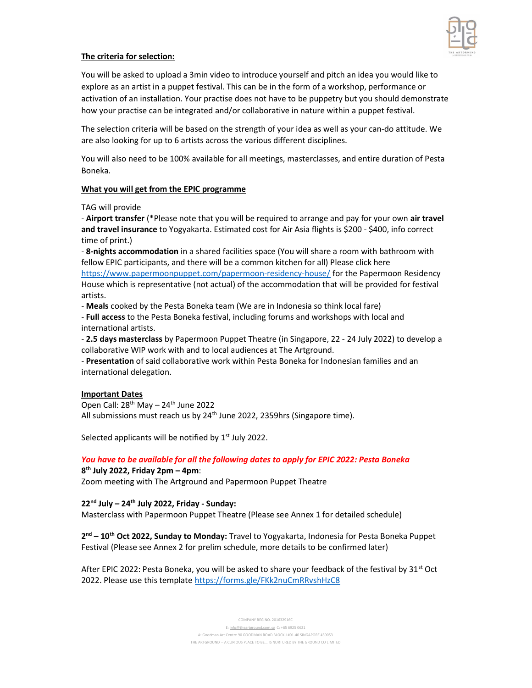

### The criteria for selection:

You will be asked to upload a 3min video to introduce yourself and pitch an idea you would like to explore as an artist in a puppet festival. This can be in the form of a workshop, performance or activation of an installation. Your practise does not have to be puppetry but you should demonstrate how your practise can be integrated and/or collaborative in nature within a puppet festival.

The selection criteria will be based on the strength of your idea as well as your can-do attitude. We are also looking for up to 6 artists across the various different disciplines.

You will also need to be 100% available for all meetings, masterclasses, and entire duration of Pesta Boneka.

#### What you will get from the EPIC programme

TAG will provide

- Airport transfer (\*Please note that you will be required to arrange and pay for your own air travel and travel insurance to Yogyakarta. Estimated cost for Air Asia flights is \$200 - \$400, info correct time of print.)

- 8-nights accommodation in a shared facilities space (You will share a room with bathroom with fellow EPIC participants, and there will be a common kitchen for all) Please click here https://www.papermoonpuppet.com/papermoon-residency-house/ for the Papermoon Residency House which is representative (not actual) of the accommodation that will be provided for festival artists.

- Meals cooked by the Pesta Boneka team (We are in Indonesia so think local fare)

- Full access to the Pesta Boneka festival, including forums and workshops with local and international artists.

- 2.5 days masterclass by Papermoon Puppet Theatre (in Singapore, 22 - 24 July 2022) to develop a collaborative WIP work with and to local audiences at The Artground.

- Presentation of said collaborative work within Pesta Boneka for Indonesian families and an international delegation.

#### Important Dates

Open Call:  $28<sup>th</sup>$  May –  $24<sup>th</sup>$  June 2022 All submissions must reach us by 24<sup>th</sup> June 2022, 2359hrs (Singapore time).

Selected applicants will be notified by  $1<sup>st</sup>$  July 2022.

# You have to be available for all the following dates to apply for EPIC 2022: Pesta Boneka

8 th July 2022, Friday 2pm – 4pm: Zoom meeting with The Artground and Papermoon Puppet Theatre

## $22<sup>nd</sup>$  July – 24<sup>th</sup> July 2022, Friday - Sunday:

Masterclass with Papermoon Puppet Theatre (Please see Annex 1 for detailed schedule)

2<sup>nd</sup> – 10<sup>th</sup> Oct 2022, Sunday to Monday: Travel to Yogyakarta, Indonesia for Pesta Boneka Puppet Festival (Please see Annex 2 for prelim schedule, more details to be confirmed later)

After EPIC 2022: Pesta Boneka, you will be asked to share your feedback of the festival by  $31^{st}$  Oct 2022. Please use this template https://forms.gle/FKk2nuCmRRvshHzC8

> COMPANY REG NO. 201632916C E: info@theartground.com.sg C: +65 6925 0621 A: Goodman Art Centre 90 GOODMAN ROAD BLOCK J #01-40 SINGAPORE 439053 THE ARTGROUND – A CURIOUS PLACE TO BE... IS NURTURED BY THE GROUND CO LIMITED